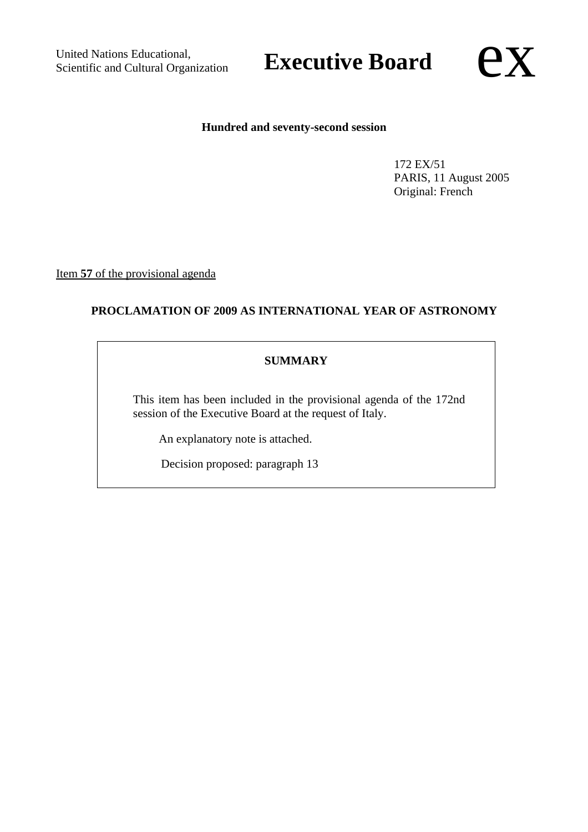United Nations Educational, United Nations Educational,<br>
Scientific and Cultural Organization<br> **Executive Board** 

#### **Hundred and seventy-second session**

172 EX/51 PARIS, 11 August 2005 Original: French

Item **57** of the provisional agenda

# **PROCLAMATION OF 2009 AS INTERNATIONAL YEAR OF ASTRONOMY**

# **SUMMARY**

This item has been included in the provisional agenda of the 172nd session of the Executive Board at the request of Italy.

An explanatory note is attached.

Decision proposed: paragraph 13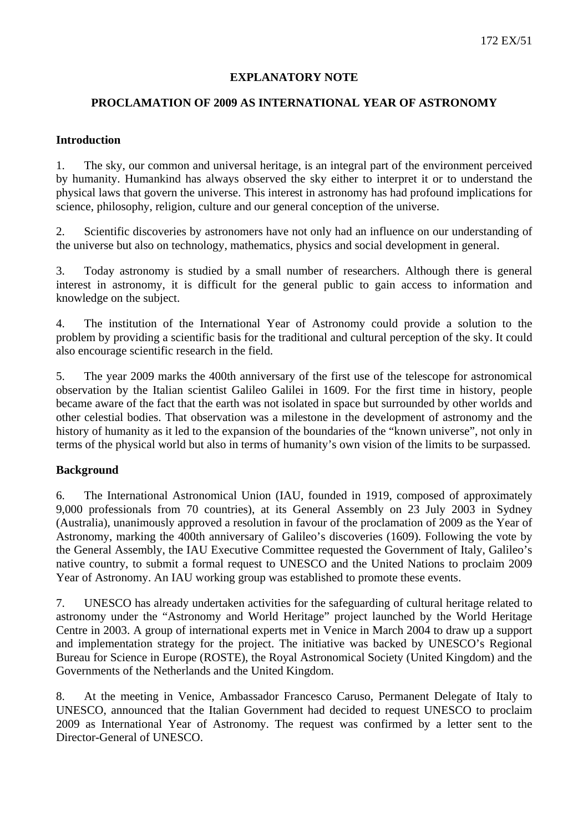## **EXPLANATORY NOTE**

# **PROCLAMATION OF 2009 AS INTERNATIONAL YEAR OF ASTRONOMY**

#### **Introduction**

1. The sky, our common and universal heritage, is an integral part of the environment perceived by humanity. Humankind has always observed the sky either to interpret it or to understand the physical laws that govern the universe. This interest in astronomy has had profound implications for science, philosophy, religion, culture and our general conception of the universe.

2. Scientific discoveries by astronomers have not only had an influence on our understanding of the universe but also on technology, mathematics, physics and social development in general.

3. Today astronomy is studied by a small number of researchers. Although there is general interest in astronomy, it is difficult for the general public to gain access to information and knowledge on the subject.

4. The institution of the International Year of Astronomy could provide a solution to the problem by providing a scientific basis for the traditional and cultural perception of the sky. It could also encourage scientific research in the field.

5. The year 2009 marks the 400th anniversary of the first use of the telescope for astronomical observation by the Italian scientist Galileo Galilei in 1609. For the first time in history, people became aware of the fact that the earth was not isolated in space but surrounded by other worlds and other celestial bodies. That observation was a milestone in the development of astronomy and the history of humanity as it led to the expansion of the boundaries of the "known universe", not only in terms of the physical world but also in terms of humanity's own vision of the limits to be surpassed.

# **Background**

6. The International Astronomical Union (IAU, founded in 1919, composed of approximately 9,000 professionals from 70 countries), at its General Assembly on 23 July 2003 in Sydney (Australia), unanimously approved a resolution in favour of the proclamation of 2009 as the Year of Astronomy, marking the 400th anniversary of Galileo's discoveries (1609). Following the vote by the General Assembly, the IAU Executive Committee requested the Government of Italy, Galileo's native country, to submit a formal request to UNESCO and the United Nations to proclaim 2009 Year of Astronomy. An IAU working group was established to promote these events.

7. UNESCO has already undertaken activities for the safeguarding of cultural heritage related to astronomy under the "Astronomy and World Heritage" project launched by the World Heritage Centre in 2003. A group of international experts met in Venice in March 2004 to draw up a support and implementation strategy for the project. The initiative was backed by UNESCO's Regional Bureau for Science in Europe (ROSTE), the Royal Astronomical Society (United Kingdom) and the Governments of the Netherlands and the United Kingdom.

8. At the meeting in Venice, Ambassador Francesco Caruso, Permanent Delegate of Italy to UNESCO, announced that the Italian Government had decided to request UNESCO to proclaim 2009 as International Year of Astronomy. The request was confirmed by a letter sent to the Director-General of UNESCO.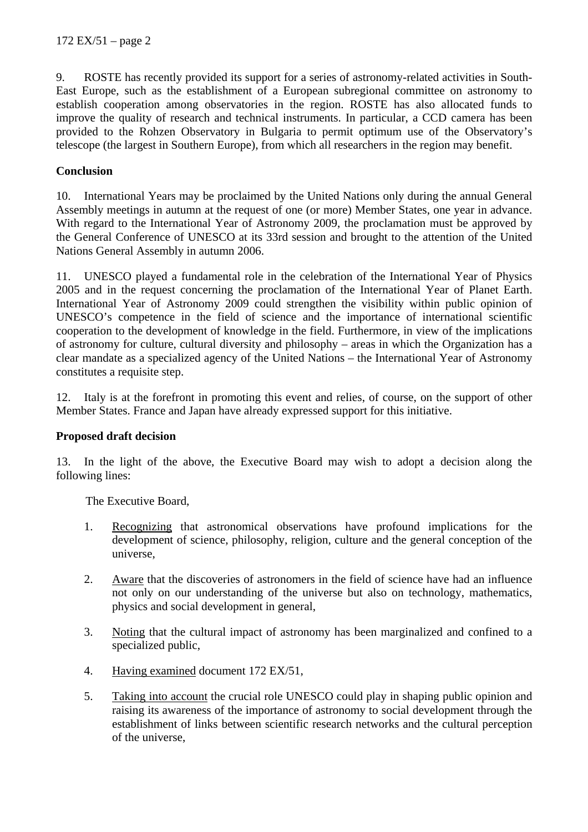9. ROSTE has recently provided its support for a series of astronomy-related activities in South-East Europe, such as the establishment of a European subregional committee on astronomy to establish cooperation among observatories in the region. ROSTE has also allocated funds to improve the quality of research and technical instruments. In particular, a CCD camera has been provided to the Rohzen Observatory in Bulgaria to permit optimum use of the Observatory's telescope (the largest in Southern Europe), from which all researchers in the region may benefit.

## **Conclusion**

10. International Years may be proclaimed by the United Nations only during the annual General Assembly meetings in autumn at the request of one (or more) Member States, one year in advance. With regard to the International Year of Astronomy 2009, the proclamation must be approved by the General Conference of UNESCO at its 33rd session and brought to the attention of the United Nations General Assembly in autumn 2006.

11. UNESCO played a fundamental role in the celebration of the International Year of Physics 2005 and in the request concerning the proclamation of the International Year of Planet Earth. International Year of Astronomy 2009 could strengthen the visibility within public opinion of UNESCO's competence in the field of science and the importance of international scientific cooperation to the development of knowledge in the field. Furthermore, in view of the implications of astronomy for culture, cultural diversity and philosophy – areas in which the Organization has a clear mandate as a specialized agency of the United Nations – the International Year of Astronomy constitutes a requisite step.

12. Italy is at the forefront in promoting this event and relies, of course, on the support of other Member States. France and Japan have already expressed support for this initiative.

#### **Proposed draft decision**

13. In the light of the above, the Executive Board may wish to adopt a decision along the following lines:

The Executive Board,

- 1. Recognizing that astronomical observations have profound implications for the development of science, philosophy, religion, culture and the general conception of the universe,
- 2. Aware that the discoveries of astronomers in the field of science have had an influence not only on our understanding of the universe but also on technology, mathematics, physics and social development in general,
- 3. Noting that the cultural impact of astronomy has been marginalized and confined to a specialized public,
- 4. Having examined document 172 EX/51,
- 5. Taking into account the crucial role UNESCO could play in shaping public opinion and raising its awareness of the importance of astronomy to social development through the establishment of links between scientific research networks and the cultural perception of the universe,